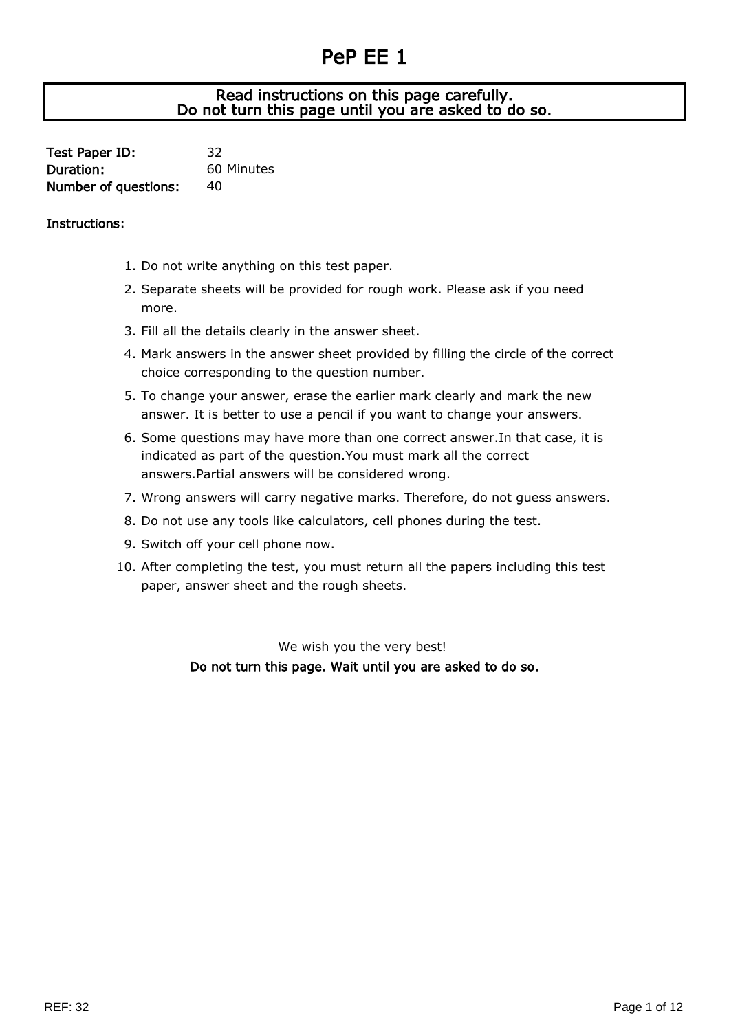## PeP EE 1

## J Read instructions on this page carefully. Do not turn this page until you are asked to do so.

| Test Paper ID:       | 32         |
|----------------------|------------|
| Duration:            | 60 Minutes |
| Number of questions: | 40         |

## Instructions:

- 1. Do not write anything on this test paper.
- 2. Separate sheets will be provided for rough work. Please ask if you need more.
- 3. Fill all the details clearly in the answer sheet.
- 4. Mark answers in the answer sheet provided by filling the circle of the correct choice corresponding to the question number.
- 5. To change your answer, erase the earlier mark clearly and mark the new answer. It is better to use a pencil if you want to change your answers.
- 6. Some questions may have more than one correct answer.In that case, it is indicated as part of the question.You must mark all the correct answers.Partial answers will be considered wrong.
- 7. Wrong answers will carry negative marks. Therefore, do not guess answers.
- 8. Do not use any tools like calculators, cell phones during the test.
- 9. Switch off your cell phone now.
- 10. After completing the test, you must return all the papers including this test paper, answer sheet and the rough sheets.

We wish you the very best! Do not turn this page. Wait until you are asked to do so.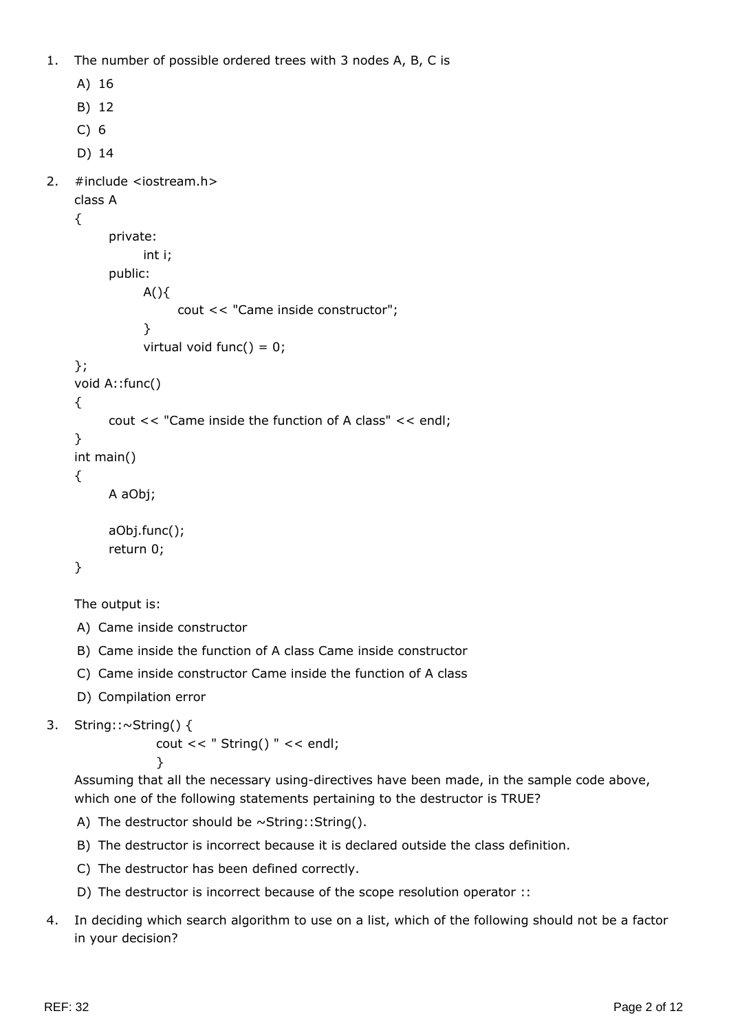1. The number of possible ordered trees with 3 nodes A, B, C is

```
A) 16
    B) 12
    C) 6
    D) 14
2. #include <iostream.h>
    class A
    {
          private:
                int i;
          public:
               A() cout << "Came inside constructor";
     }
               virtual void func() = 0;
    };
    void A::func()
    {
          cout << "Came inside the function of A class" << endl;
    }
    int main()
    {
          A aObj;
          aObj.func();
          return 0;
    }
```
The output is:

- A) Came inside constructor
- B) Came inside the function of A class Came inside constructor
- C) Came inside constructor Came inside the function of A class
- D) Compilation error

```
3. String::~String() {
```

```
 cout << " String() " << endl;
 }
```
Assuming that all the necessary using-directives have been made, in the sample code above, which one of the following statements pertaining to the destructor is TRUE?

- A) The destructor should be  $\sim$ String::String().
- B) The destructor is incorrect because it is declared outside the class definition.
- C) The destructor has been defined correctly.
- D) The destructor is incorrect because of the scope resolution operator ::
- 4. In deciding which search algorithm to use on a list, which of the following should not be a factor in your decision?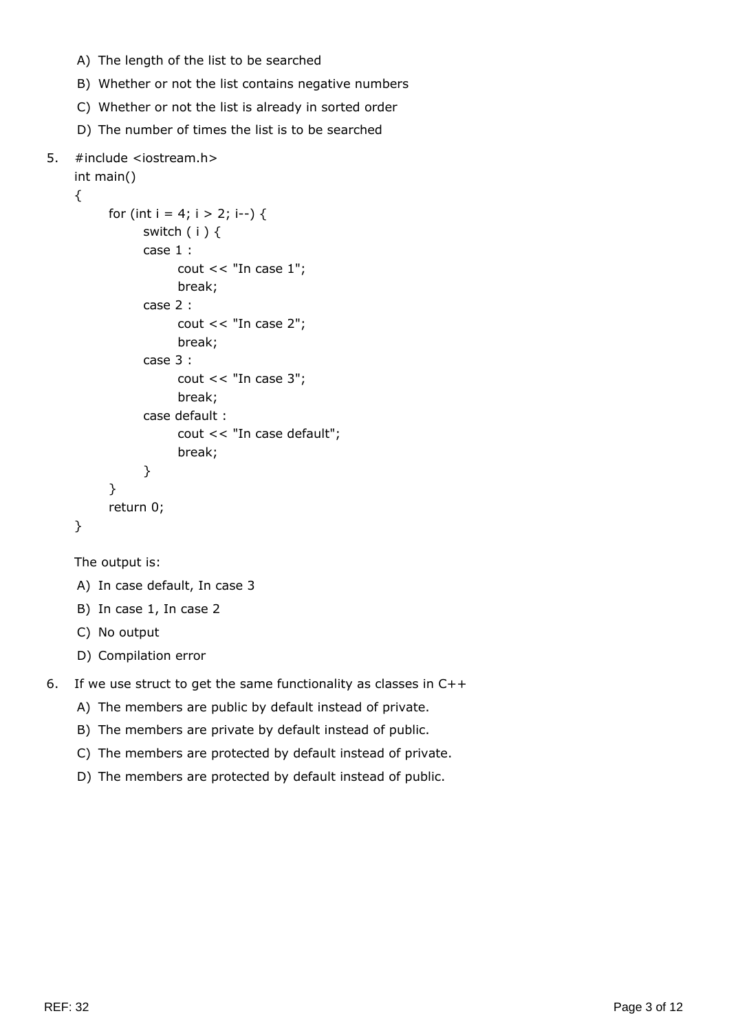- A) The length of the list to be searched
- B) Whether or not the list contains negative numbers
- C) Whether or not the list is already in sorted order
- D) The number of times the list is to be searched

## 5. #include <iostream.h>

```
int main()
{
      for (int i = 4; i > 2; i--) {
             switch ( i ) {
             case 1 :
                  cout << "In case 1";
                   break;
             case 2 :
                  cout << "In case 2";
                   break;
             case 3 :
                  cout << "In case 3";
                   break;
             case default :
                   cout << "In case default";
                   break;
             }
       }
       return 0;
}
```

```
The output is:
```
- A) In case default, In case 3
- B) In case 1, In case 2
- C) No output
- D) Compilation error
- 6. If we use struct to get the same functionality as classes in C++
	- A) The members are public by default instead of private.
	- B) The members are private by default instead of public.
	- C) The members are protected by default instead of private.
	- D) The members are protected by default instead of public.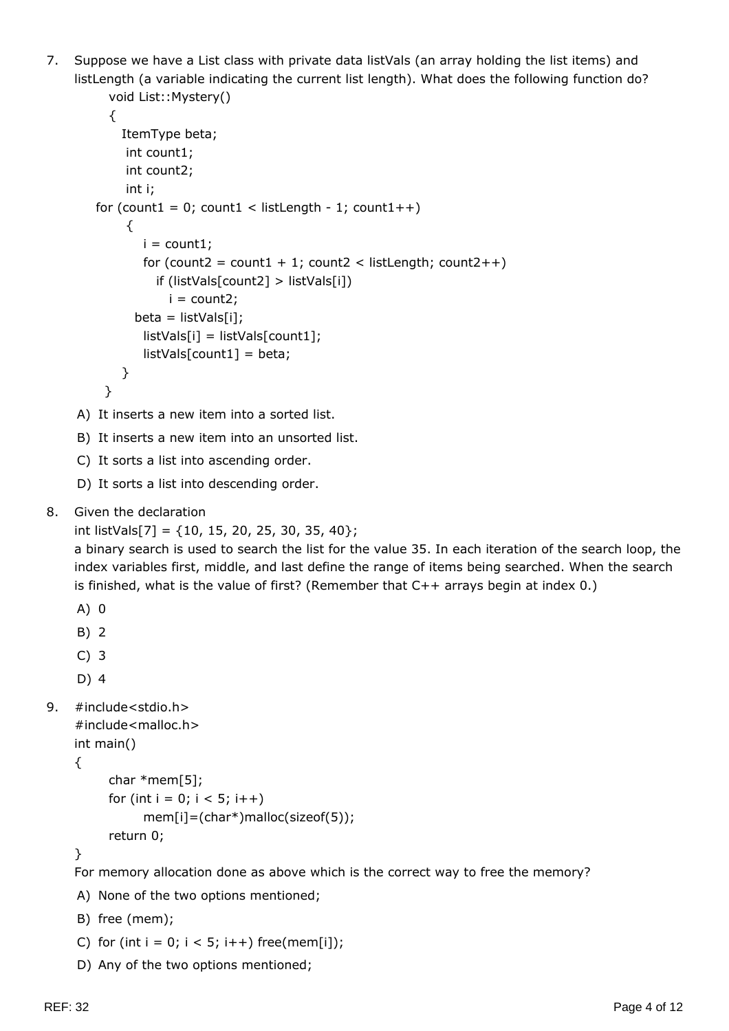7. Suppose we have a List class with private data listVals (an array holding the list items) and listLength (a variable indicating the current list length). What does the following function do? void List:: Mystery()

```
 {
             ItemType beta;
              int count1;
              int count2;
              int i;
        for (count1 = 0; count1 < listLength - 1; count1++)
              {
               i = count1;for (count2 = count1 + 1; count2 < listLength; count2++)
                   if (listVals[count2] > listVals[i])
                    i = count2;beta = listVals[i]; listVals[i] = listVals[count1];
                listVals[count1] = beta;
             }
          }
     A) It inserts a new item into a sorted list.
     B) It inserts a new item into an unsorted list.
     C) It sorts a list into ascending order.
     D) It sorts a list into descending order.
8. Given the declaration
    int listVals[7] = \{10, 15, 20, 25, 30, 35, 40\};
    a binary search is used to search the list for the value 35. In each iteration of the search loop, the
    index variables first, middle, and last define the range of items being searched. When the search
    is finished, what is the value of first? (Remember that C++ arrays begin at index 0.)
    A) 0
     B) 2
     C) 3
    D) 4
9. #include<stdio.h>
    #include<malloc.h>
    int main()
    {
           char *mem[5];
          for (int i = 0; i < 5; i++)
                mem[i]=(char*)malloc(sizeof(5));
           return 0;
    }
    For memory allocation done as above which is the correct way to free the memory?
    A) None of the two options mentioned;
     B) free (mem);
```
- C) for (int  $i = 0$ ;  $i < 5$ ;  $i++$ ) free(mem[i]);
- D) Any of the two options mentioned;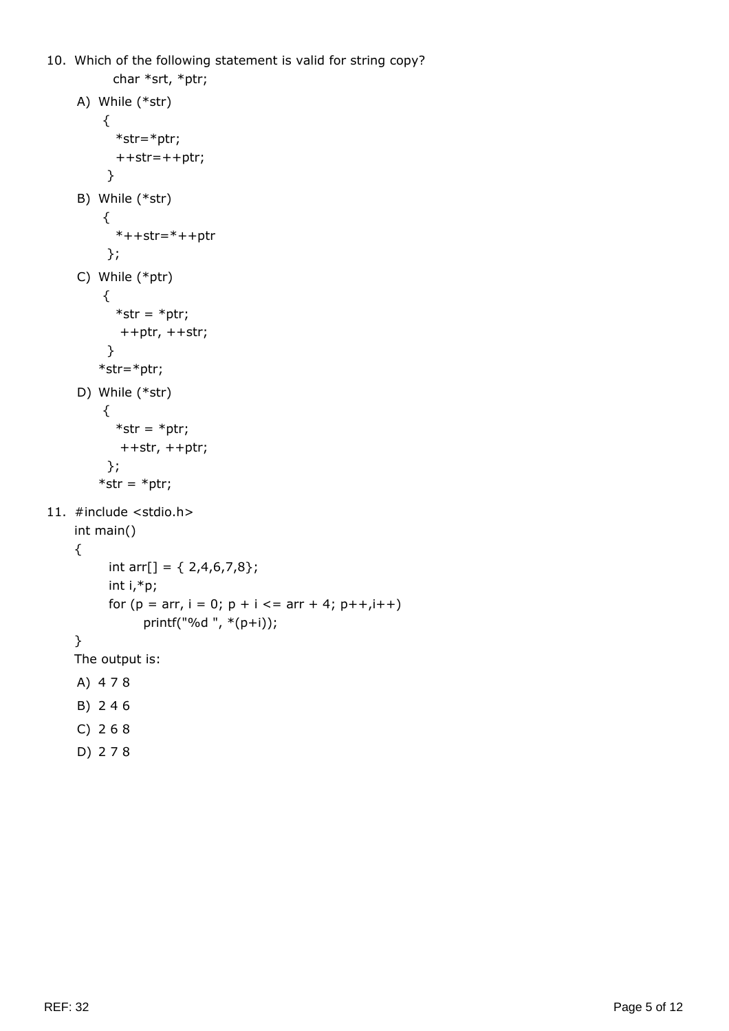```
10. Which of the following statement is valid for string copy?
           char *srt, *ptr;
     A) While (*str)
          {
            *str=*ptr;
            ++str=++ptr;
           }
     B) While (*str)
          {
           *++str=*++ptr };
     C) While (*ptr)
          {
           *str = *ptr;
             ++ptr, ++str;
           }
        *str=*ptr;
     D) While (*str)
          {
           *str = *ptr;
            ++str, ++ptr;
           };
        *str = *ptr;11. #include <stdio.h>
    int main()
    {
          int arr[] = \{ 2,4,6,7,8\}; int i,*p;
          for (p = arr, i = 0; p + i <= arr + 4; p++, i++) printf("%d ", *(p+i));
    }
    The output is:
    A) 4 7 8
     B) 2 4 6
     C) 2 6 8
     D) 2 7 8
```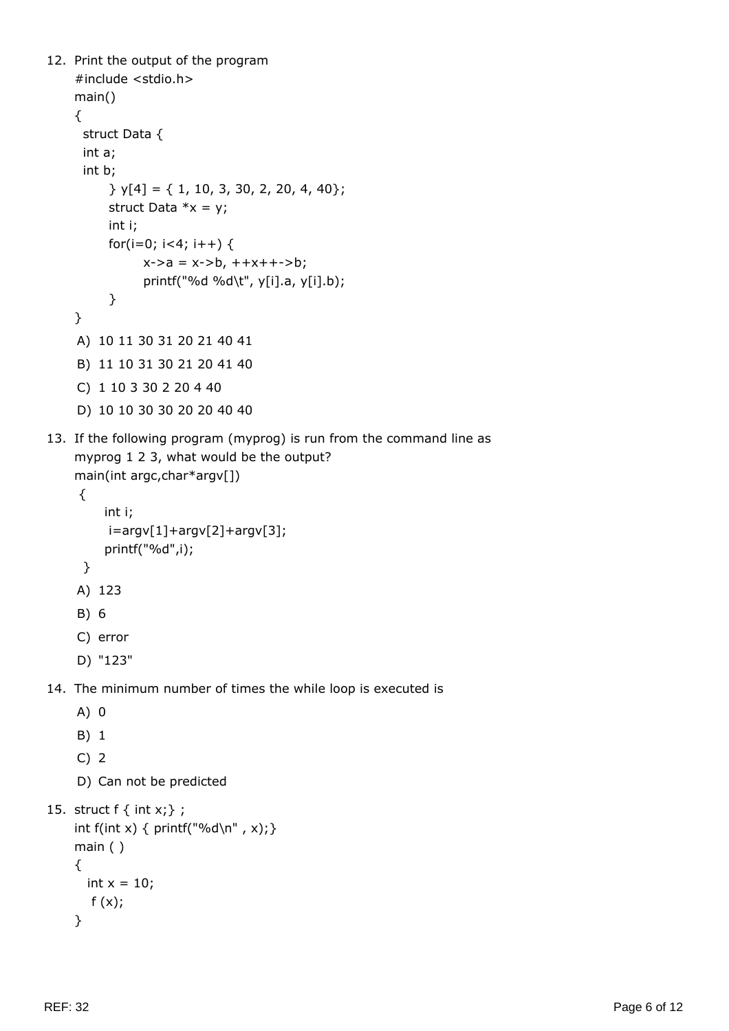```
12. Print the output of the program
    #include <stdio.h>
    main()
    {
      struct Data {
      int a;
      int b;
           } y[4] = { 1, 10, 3, 30, 2, 20, 4, 40};
          struct Data *x = y;
          int i;
         for(i=0; i<4; i++) {
               x - > a = x - > b, + +x + + -> b; printf("%d %d\t", y[i].a, y[i].b);
           }
    }
    A) 10 11 30 31 20 21 40 41
    B) 11 10 31 30 21 20 41 40
    C) 1 10 3 30 2 20 4 40
    D) 10 10 30 30 20 20 40 40
13. If the following program (myprog) is run from the command line as
    myprog 1 2 3, what would be the output?
    main(int argc,char*argv[])
      {
          int i;
          i=argv[1]+argv[2]+argv[3];
          printf("%d",i);
      }
    A) 123
    B) 6
    C) error
    D) "123"
14. The minimum number of times the while loop is executed is
    A) 0
    B) 1
    C) 2
    D) Can not be predicted
15. struct f \{ int x; \};
    int f(int x) { printf("%d\n", x);}
    main ( )
    {
      int x = 10;
```

```
}
```
 $f(x);$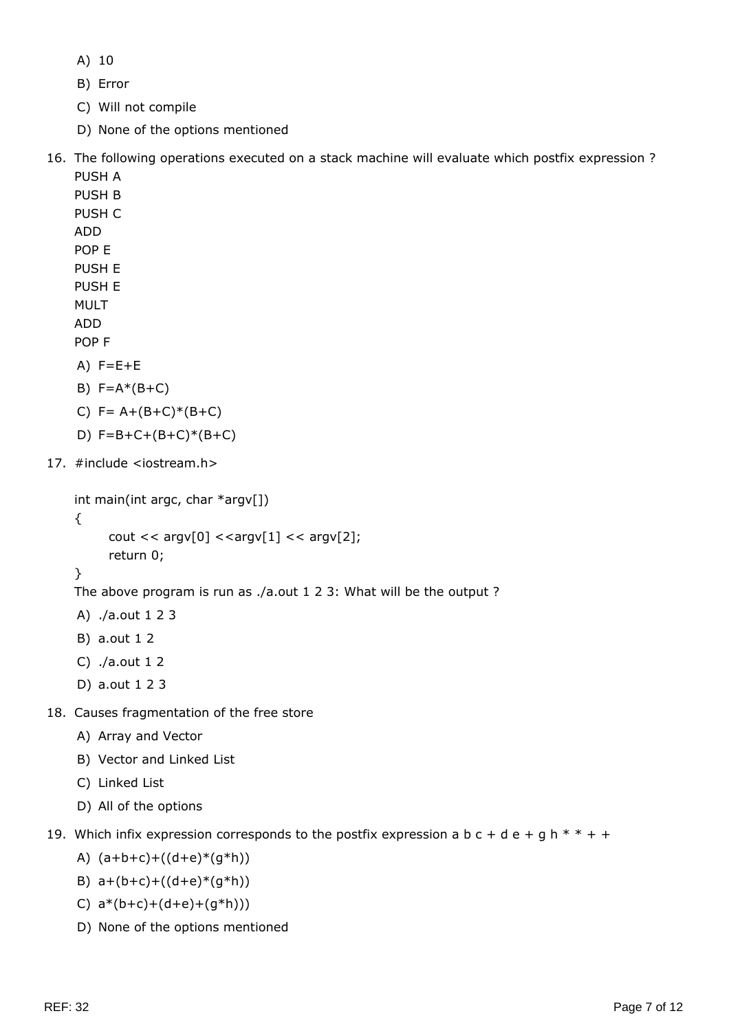A) 10

B) Error

C) Will not compile

D) None of the options mentioned

16. The following operations executed on a stack machine will evaluate which postfix expression ?

- PUSH A PUSH B PUSH C ADD POP E PUSH E PUSH E MULT ADD POP F  $A)$  F=E+E B)  $F=A*(B+C)$
- C) F= A+(B+C)\*(B+C)
- D)  $F=B+C+(B+C)*(B+C)$
- 17. #include <iostream.h>

```
int main(int argc, char *argv[])
```

```
cout << argv[0] << argv[1] << argv[2];
 return 0;
```

```
}
```
{

The above program is run as ./a.out 1 2 3: What will be the output ?

- A) ./a.out 1 2 3
- B) a.out 1 2
- C) ./a.out 1 2
- D) a.out 1 2 3
- 18. Causes fragmentation of the free store
	- A) Array and Vector
	- B) Vector and Linked List
	- C) Linked List
	- D) All of the options
- 19. Which infix expression corresponds to the postfix expression a b  $c + d e + g h * * + +$ 
	- A)  $(a+b+c)+((d+e)*(g*h))$
	- B)  $a+(b+c)+((d+e)*(q*h))$
	- C)  $a*(b+c)+(d+e)+(g*h))$
	- D) None of the options mentioned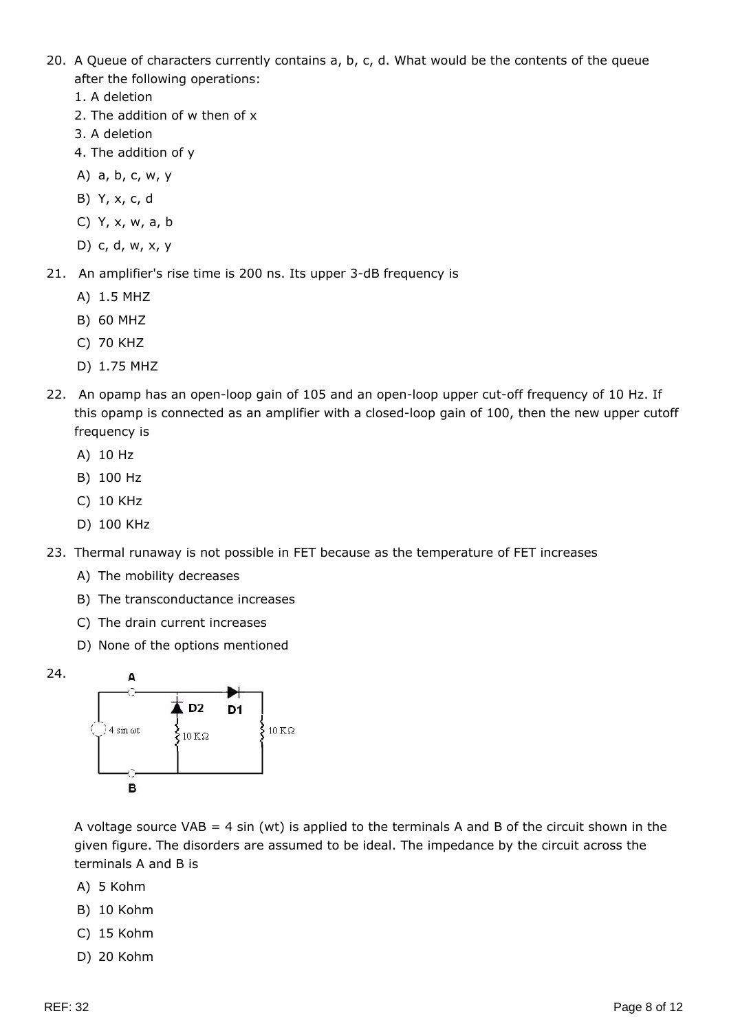- 20. A Queue of characters currently contains a, b, c, d. What would be the contents of the queue after the following operations:
	- 1. A deletion
	- 2. The addition of w then of x
	- 3. A deletion
	- 4. The addition of y
	- A) a, b, c, w, y
	- B) Y, x, c, d
	- C) Y, x, w, a, b
	- D) c, d, w, x, y
- 21. An amplifier's rise time is 200 ns. Its upper 3-dB frequency is
	- A) 1.5 MHZ
	- B) 60 MHZ
	- C) 70 KHZ
	- D) 1.75 MHZ
- 22. An opamp has an open-loop gain of 105 and an open-loop upper cut-off frequency of 10 Hz. If this opamp is connected as an amplifier with a closed-loop gain of 100, then the new upper cutoff frequency is
	- A) 10 Hz
	- B) 100 Hz
	- C) 10 KHz
	- D) 100 KHz
- 23. Thermal runaway is not possible in FET because as the temperature of FET increases
	- A) The mobility decreases
	- B) The transconductance increases
	- C) The drain current increases
	- D) None of the options mentioned



A voltage source VAB = 4 sin (wt) is applied to the terminals A and B of the circuit shown in the given figure. The disorders are assumed to be ideal. The impedance by the circuit across the terminals A and B is

- A) 5 Kohm
- B) 10 Kohm
- C) 15 Kohm
- D) 20 Kohm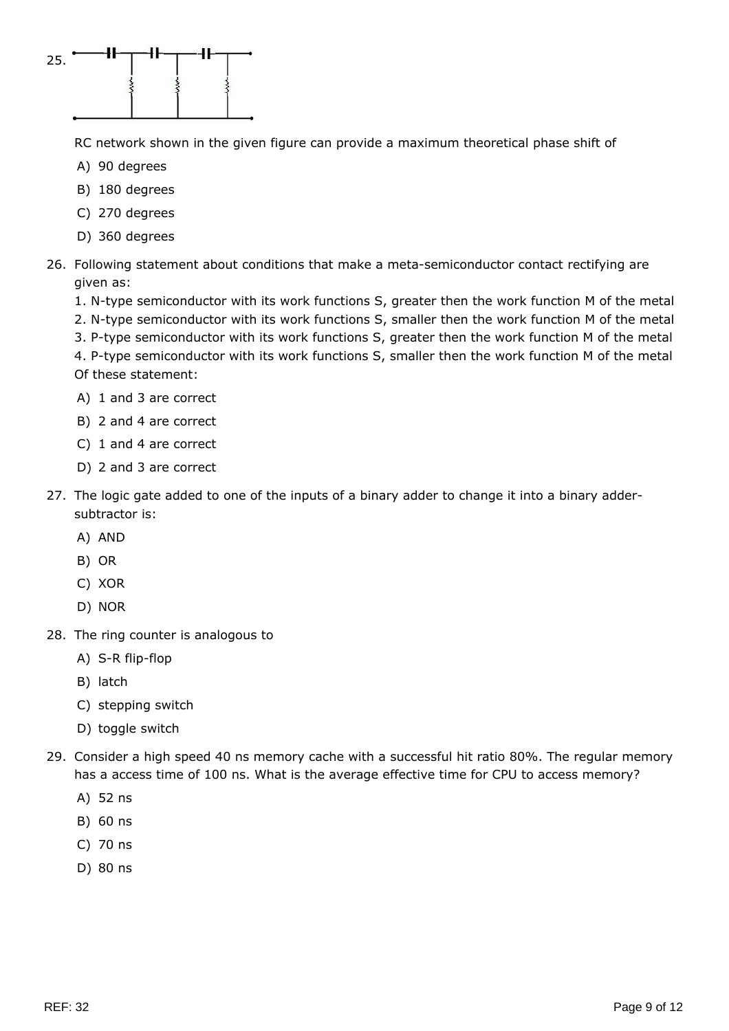

RC network shown in the given figure can provide a maximum theoretical phase shift of

- A) 90 degrees
- B) 180 degrees
- C) 270 degrees
- D) 360 degrees
- 26. Following statement about conditions that make a meta-semiconductor contact rectifying are given as:
	- 1. N-type semiconductor with its work functions S, greater then the work function M of the metal
	- 2. N-type semiconductor with its work functions S, smaller then the work function M of the metal
	- 3. P-type semiconductor with its work functions S, greater then the work function M of the metal 4. P-type semiconductor with its work functions S, smaller then the work function M of the metal Of these statement:
	- A) 1 and 3 are correct
	- B) 2 and 4 are correct
	- C) 1 and 4 are correct
	- D) 2 and 3 are correct
- 27. The logic gate added to one of the inputs of a binary adder to change it into a binary addersubtractor is:
	- A) AND
	- B) OR
	- C) XOR
	- D) NOR
- 28. The ring counter is analogous to
	- A) S-R flip-flop
	- B) latch
	- C) stepping switch
	- D) toggle switch
- 29. Consider a high speed 40 ns memory cache with a successful hit ratio 80%. The regular memory has a access time of 100 ns. What is the average effective time for CPU to access memory?
	- A) 52 ns
	- B) 60 ns
	- C) 70 ns
	- D) 80 ns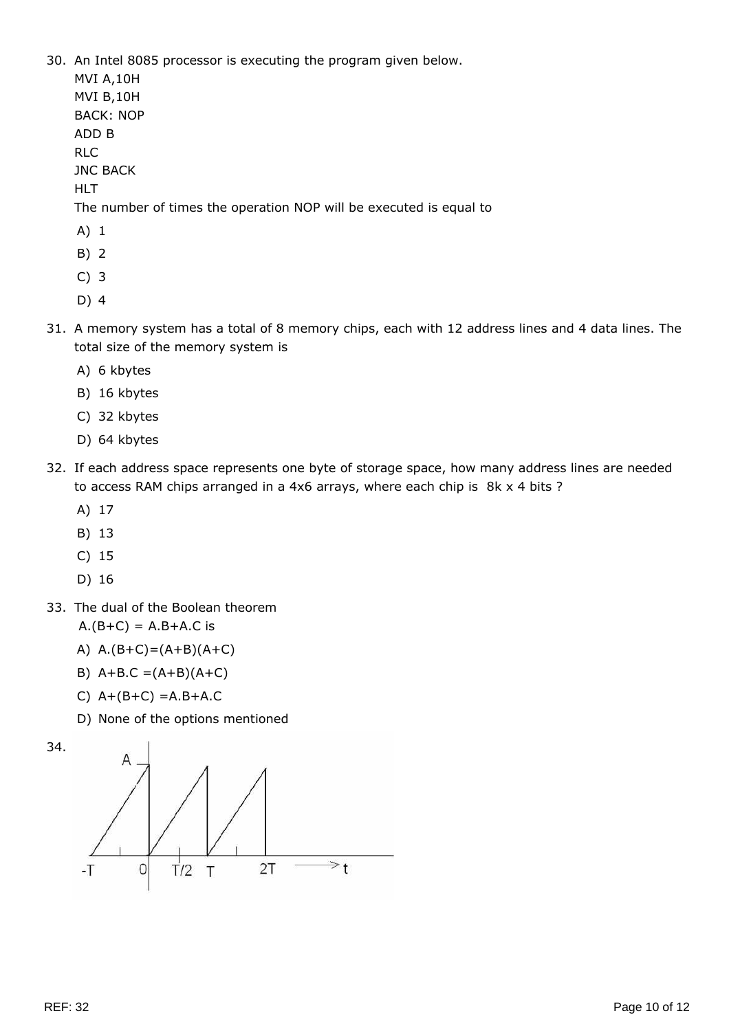30. An Intel 8085 processor is executing the program given below.

MVI A,10H

MVI B,10H BACK: NOP ADD B

RLC

JNC BACK

HLT

The number of times the operation NOP will be executed is equal to

- A) 1
- B) 2
- C) 3
- D) 4
- 31. A memory system has a total of 8 memory chips, each with 12 address lines and 4 data lines. The total size of the memory system is
	- A) 6 kbytes
	- B) 16 kbytes
	- C) 32 kbytes
	- D) 64 kbytes
- 32. If each address space represents one byte of storage space, how many address lines are needed to access RAM chips arranged in a 4x6 arrays, where each chip is 8k x 4 bits ?
	- A) 17
	- B) 13
	- C) 15
	- D) 16
- 33. The dual of the Boolean theorem

 $A.(B+C) = A.B + A.C$  is

- A)  $A.(B+C)=(A+B)(A+C)$
- B)  $A+B.C = (A+B)(A+C)$
- C) A+(B+C) =A.B+A.C
- D) None of the options mentioned

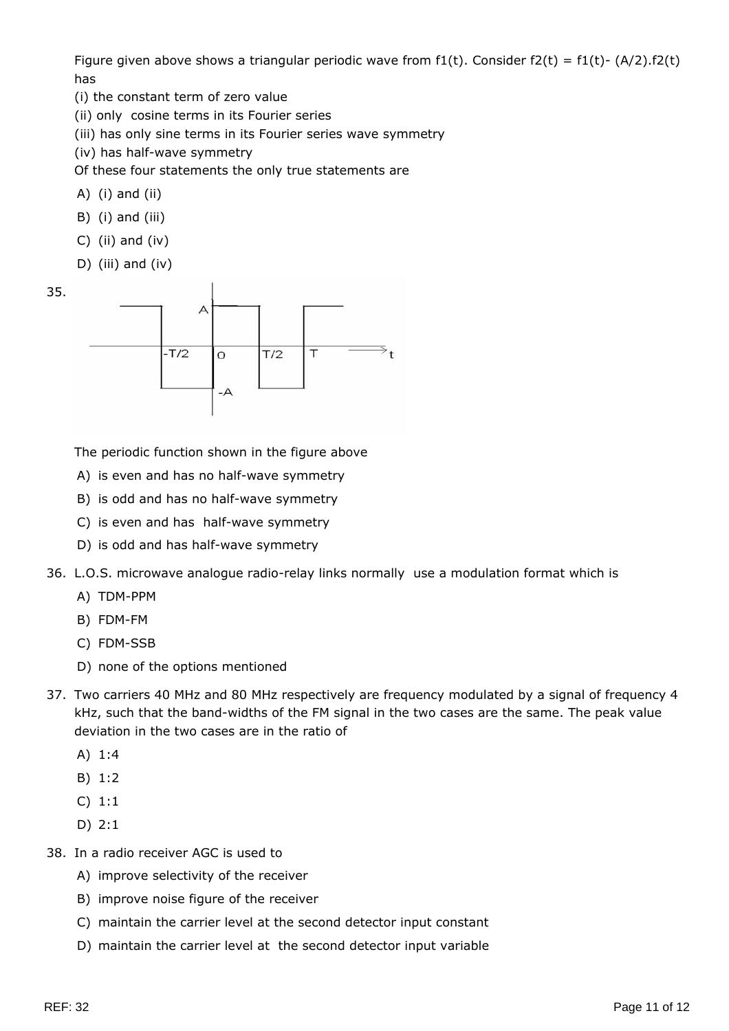Figure given above shows a triangular periodic wave from  $f1(t)$ . Consider  $f2(t) = f1(t) - (A/2) \cdot f2(t)$ has

(i) the constant term of zero value

(ii) only cosine terms in its Fourier series

(iii) has only sine terms in its Fourier series wave symmetry

(iv) has half-wave symmetry

Of these four statements the only true statements are

- A) (i) and (ii)
- B) (i) and (iii)
- C) (ii) and (iv)
- D) (iii) and (iv)





The periodic function shown in the figure above

- A) is even and has no half-wave symmetry
- B) is odd and has no half-wave symmetry
- C) is even and has half-wave symmetry
- D) is odd and has half-wave symmetry
- 36. L.O.S. microwave analogue radio-relay links normally use a modulation format which is
	- A) TDM-PPM
	- B) FDM-FM
	- C) FDM-SSB
	- D) none of the options mentioned
- 37. Two carriers 40 MHz and 80 MHz respectively are frequency modulated by a signal of frequency 4 kHz, such that the band-widths of the FM signal in the two cases are the same. The peak value deviation in the two cases are in the ratio of
	- A) 1:4
	- B) 1:2
	- C) 1:1
	- D) 2:1
- 38. In a radio receiver AGC is used to
	- A) improve selectivity of the receiver
	- B) improve noise figure of the receiver
	- C) maintain the carrier level at the second detector input constant
	- D) maintain the carrier level at the second detector input variable